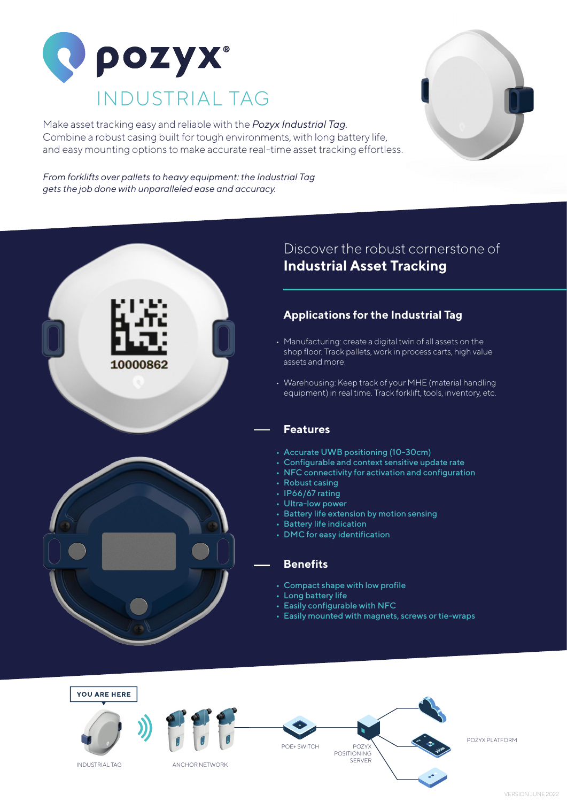

10000862

Make asset tracking easy and reliable with the *Pozyx Industrial Tag.* Combine a robust casing built for tough environments, with long battery life, and easy mounting options to make accurate real-time asset tracking effortless.



*From forklifts over pallets to heavy equipment: the Industrial Tag gets the job done with unparalleled ease and accuracy.*

### Discover the robust cornerstone of **Industrial Asset Tracking**

### **Applications for the Industrial Tag**

- Manufacturing: create a digital twin of all assets on the shop floor. Track pallets, work in process carts, high value assets and more.
- Warehousing: Keep track of your MHE (material handling equipment) in real time. Track forklift, tools, inventory, etc.

#### **Features**

- Accurate UWB positioning (10-30cm)
- Configurable and context sensitive update rate
- NFC connectivity for activation and configuration
- Robust casing
- IP66/67 rating
- Ultra-low power
- Battery life extension by motion sensing
- Battery life indication
- DMC for easy identification

#### **Benefits**

- Compact shape with low profile
- Long battery life
- Easily configurable with NFC
- Easily mounted with magnets, screws or tie-wraps